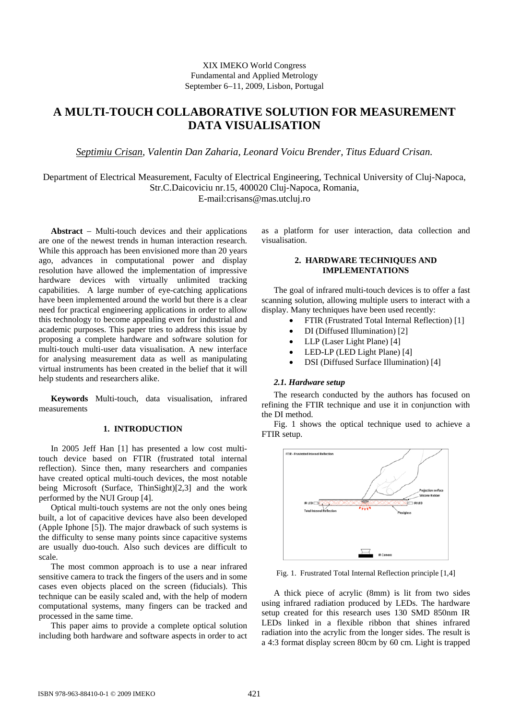# XIX IMEKO World Congress Fundamental and Applied Metrology September 6−11, 2009, Lisbon, Portugal

# **A MULTI-TOUCH COLLABORATIVE SOLUTION FOR MEASUREMENT DATA VISUALISATION**

*Septimiu Crisan, Valentin Dan Zaharia, Leonard Voicu Brender, Titus Eduard Crisan.* 

Department of Electrical Measurement, Faculty of Electrical Engineering, Technical University of Cluj-Napoca, Str.C.Daicoviciu nr.15, 400020 Cluj-Napoca, Romania,

E-mail:crisans@mas.utcluj.ro

**Abstract** − Multi-touch devices and their applications are one of the newest trends in human interaction research. While this approach has been envisioned more than 20 years ago, advances in computational power and display resolution have allowed the implementation of impressive hardware devices with virtually unlimited tracking capabilities. A large number of eye-catching applications have been implemented around the world but there is a clear need for practical engineering applications in order to allow this technology to become appealing even for industrial and academic purposes. This paper tries to address this issue by proposing a complete hardware and software solution for multi-touch multi-user data visualisation. A new interface for analysing measurement data as well as manipulating virtual instruments has been created in the belief that it will help students and researchers alike.

**Keywords** Multi-touch, data visualisation, infrared measurements

### **1. INTRODUCTION**

In 2005 Jeff Han [1] has presented a low cost multitouch device based on FTIR (frustrated total internal reflection). Since then, many researchers and companies have created optical multi-touch devices, the most notable being Microsoft (Surface, ThinSight)[2,3] and the work performed by the NUI Group [4].

Optical multi-touch systems are not the only ones being built, a lot of capacitive devices have also been developed (Apple Iphone [5]). The major drawback of such systems is the difficulty to sense many points since capacitive systems are usually duo-touch. Also such devices are difficult to scale.

The most common approach is to use a near infrared sensitive camera to track the fingers of the users and in some cases even objects placed on the screen (fiducials). This technique can be easily scaled and, with the help of modern computational systems, many fingers can be tracked and processed in the same time.

This paper aims to provide a complete optical solution including both hardware and software aspects in order to act as a platform for user interaction, data collection and visualisation.

# **2. HARDWARE TECHNIQUES AND IMPLEMENTATIONS**

The goal of infrared multi-touch devices is to offer a fast scanning solution, allowing multiple users to interact with a display. Many techniques have been used recently:

- FTIR (Frustrated Total Internal Reflection) [1]
- DI (Diffused Illumination) [2]
- LLP (Laser Light Plane) [4]
- LED-LP (LED Light Plane) [4]
- DSI (Diffused Surface Illumination) [4]

#### *2.1. Hardware setup*

The research conducted by the authors has focused on refining the FTIR technique and use it in conjunction with the DI method.

Fig. 1 shows the optical technique used to achieve a FTIR setup.



Fig. 1. Frustrated Total Internal Reflection principle [1,4]

A thick piece of acrylic (8mm) is lit from two sides using infrared radiation produced by LEDs. The hardware setup created for this research uses 130 SMD 850nm IR LEDs linked in a flexible ribbon that shines infrared radiation into the acrylic from the longer sides. The result is a 4:3 format display screen 80cm by 60 cm. Light is trapped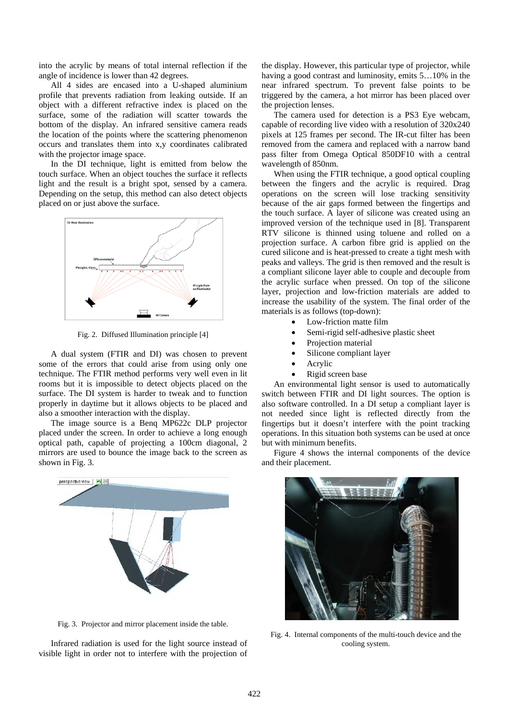into the acrylic by means of total internal reflection if the angle of incidence is lower than 42 degrees.

All 4 sides are encased into a U-shaped aluminium profile that prevents radiation from leaking outside. If an object with a different refractive index is placed on the surface, some of the radiation will scatter towards the bottom of the display. An infrared sensitive camera reads the location of the points where the scattering phenomenon occurs and translates them into x,y coordinates calibrated with the projector image space.

In the DI technique, light is emitted from below the touch surface. When an object touches the surface it reflects light and the result is a bright spot, sensed by a camera. Depending on the setup, this method can also detect objects placed on or just above the surface.



Fig. 2. Diffused Illumination principle [4]

A dual system (FTIR and DI) was chosen to prevent some of the errors that could arise from using only one technique. The FTIR method performs very well even in lit rooms but it is impossible to detect objects placed on the surface. The DI system is harder to tweak and to function properly in daytime but it allows objects to be placed and also a smoother interaction with the display.

The image source is a Benq MP622c DLP projector placed under the screen. In order to achieve a long enough optical path, capable of projecting a 100cm diagonal, 2 mirrors are used to bounce the image back to the screen as shown in Fig. 3.



Fig. 3. Projector and mirror placement inside the table.

Infrared radiation is used for the light source instead of visible light in order not to interfere with the projection of the display. However, this particular type of projector, while having a good contrast and luminosity, emits 5…10% in the near infrared spectrum. To prevent false points to be triggered by the camera, a hot mirror has been placed over the projection lenses.

The camera used for detection is a PS3 Eye webcam, capable of recording live video with a resolution of 320x240 pixels at 125 frames per second. The IR-cut filter has been removed from the camera and replaced with a narrow band pass filter from Omega Optical 850DF10 with a central wavelength of 850nm.

When using the FTIR technique, a good optical coupling between the fingers and the acrylic is required. Drag operations on the screen will lose tracking sensitivity because of the air gaps formed between the fingertips and the touch surface. A layer of silicone was created using an improved version of the technique used in [8]. Transparent RTV silicone is thinned using toluene and rolled on a projection surface. A carbon fibre grid is applied on the cured silicone and is heat-pressed to create a tight mesh with peaks and valleys. The grid is then removed and the result is a compliant silicone layer able to couple and decouple from the acrylic surface when pressed. On top of the silicone layer, projection and low-friction materials are added to increase the usability of the system. The final order of the materials is as follows (top-down):

- Low-friction matte film
- Semi-rigid self-adhesive plastic sheet
- Projection material
- Silicone compliant layer
- Acrylic
- Rigid screen base

An environmental light sensor is used to automatically switch between FTIR and DI light sources. The option is also software controlled. In a DI setup a compliant layer is not needed since light is reflected directly from the fingertips but it doesn't interfere with the point tracking operations. In this situation both systems can be used at once but with minimum benefits.

Figure 4 shows the internal components of the device and their placement.



Fig. 4. Internal components of the multi-touch device and the cooling system.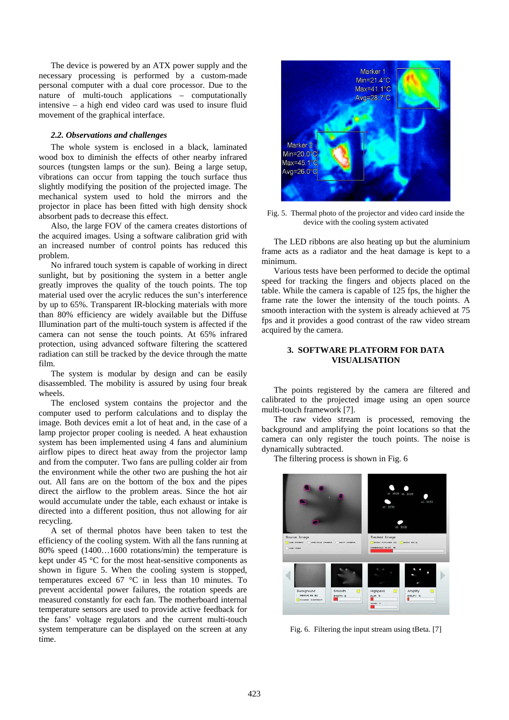The device is powered by an ATX power supply and the necessary processing is performed by a custom-made personal computer with a dual core processor. Due to the nature of multi-touch applications – computationally intensive – a high end video card was used to insure fluid movement of the graphical interface.

#### *2.2. Observations and challenges*

The whole system is enclosed in a black, laminated wood box to diminish the effects of other nearby infrared sources (tungsten lamps or the sun). Being a large setup, vibrations can occur from tapping the touch surface thus slightly modifying the position of the projected image. The mechanical system used to hold the mirrors and the projector in place has been fitted with high density shock absorbent pads to decrease this effect.

Also, the large FOV of the camera creates distortions of the acquired images. Using a software calibration grid with an increased number of control points has reduced this problem.

No infrared touch system is capable of working in direct sunlight, but by positioning the system in a better angle greatly improves the quality of the touch points. The top material used over the acrylic reduces the sun's interference by up to 65%. Transparent IR-blocking materials with more than 80% efficiency are widely available but the Diffuse Illumination part of the multi-touch system is affected if the camera can not sense the touch points. At 65% infrared protection, using advanced software filtering the scattered radiation can still be tracked by the device through the matte film.

The system is modular by design and can be easily disassembled. The mobility is assured by using four break wheels.

The enclosed system contains the projector and the computer used to perform calculations and to display the image. Both devices emit a lot of heat and, in the case of a lamp projector proper cooling is needed. A heat exhaustion system has been implemented using 4 fans and aluminium airflow pipes to direct heat away from the projector lamp and from the computer. Two fans are pulling colder air from the environment while the other two are pushing the hot air out. All fans are on the bottom of the box and the pipes direct the airflow to the problem areas. Since the hot air would accumulate under the table, each exhaust or intake is directed into a different position, thus not allowing for air recycling.

A set of thermal photos have been taken to test the efficiency of the cooling system. With all the fans running at 80% speed (1400…1600 rotations/min) the temperature is kept under 45 °C for the most heat-sensitive components as shown in figure 5. When the cooling system is stopped, temperatures exceed 67 °C in less than 10 minutes. To prevent accidental power failures, the rotation speeds are measured constantly for each fan. The motherboard internal temperature sensors are used to provide active feedback for the fans' voltage regulators and the current multi-touch system temperature can be displayed on the screen at any time.



Fig. 5. Thermal photo of the projector and video card inside the device with the cooling system activated

The LED ribbons are also heating up but the aluminium frame acts as a radiator and the heat damage is kept to a minimum.

Various tests have been performed to decide the optimal speed for tracking the fingers and objects placed on the table. While the camera is capable of 125 fps, the higher the frame rate the lower the intensity of the touch points. A smooth interaction with the system is already achieved at 75 fps and it provides a good contrast of the raw video stream acquired by the camera.

## **3. SOFTWARE PLATFORM FOR DATA VISUALISATION**

The points registered by the camera are filtered and calibrated to the projected image using an open source multi-touch framework [7].

The raw video stream is processed, removing the background and amplifying the point locations so that the camera can only register the touch points. The noise is dynamically subtracted.

The filtering process is shown in Fig. 6



Fig. 6. Filtering the input stream using tBeta. [7]